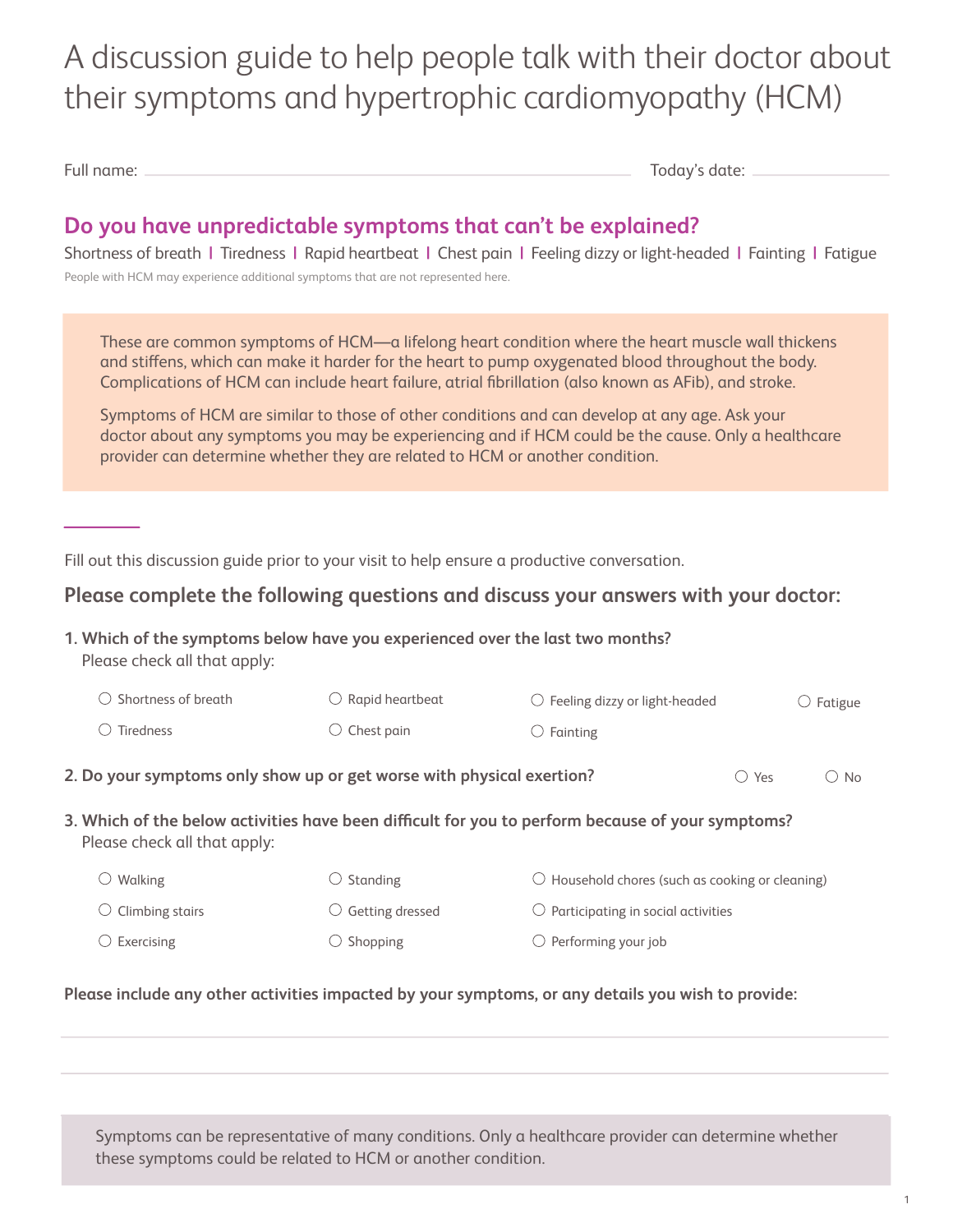# A discussion guide to help people talk with their doctor about their symptoms and hypertrophic cardiomyopathy (HCM)

Full name: Today's date:

# **Do you have unpredictable symptoms that can't be explained?**

People with HCM may experience additional symptoms that are not represented here. Shortness of breath **|** Tiredness **|** Rapid heartbeat **|** Chest pain **|** Feeling dizzy or light-headed **|** Fainting **|** Fatigue

# **Please complete the following questions and discuss your answers with your doctor:**

| Fill out this discussion guide prior to your visit to help ensure a productive conversation.                  |                            |                                                                                                                     |                    |
|---------------------------------------------------------------------------------------------------------------|----------------------------|---------------------------------------------------------------------------------------------------------------------|--------------------|
|                                                                                                               |                            | Please complete the following questions and discuss your answers with your doctor:                                  |                    |
| 1. Which of the symptoms below have you experienced over the last two months?<br>Please check all that apply: |                            |                                                                                                                     |                    |
| $\bigcirc$ Shortness of breath                                                                                | $\bigcirc$ Rapid heartbeat | $\bigcirc$ Feeling dizzy or light-headed                                                                            | $\bigcirc$ Fatigue |
| $\bigcirc$ Tiredness                                                                                          | $\bigcirc$ Chest pain      | $\bigcirc$ Fainting                                                                                                 |                    |
| 2. Do your symptoms only show up or get worse with physical exertion?<br>Please check all that apply:         |                            | $\bigcirc$ Yes<br>3. Which of the below activities have been difficult for you to perform because of your symptoms? | $\bigcirc$ No      |
|                                                                                                               |                            | $\bigcirc$ Household chores (such as cooking or cleaning)                                                           |                    |
| $\bigcirc$ Walking                                                                                            | $\bigcirc$ Standing        |                                                                                                                     |                    |
| $\bigcirc$ Climbing stairs                                                                                    | $\bigcirc$ Getting dressed | $\bigcirc$ Participating in social activities                                                                       |                    |
| $\bigcirc$ Exercising                                                                                         | $\bigcirc$ Shopping        | $\bigcirc$ Performing your job                                                                                      |                    |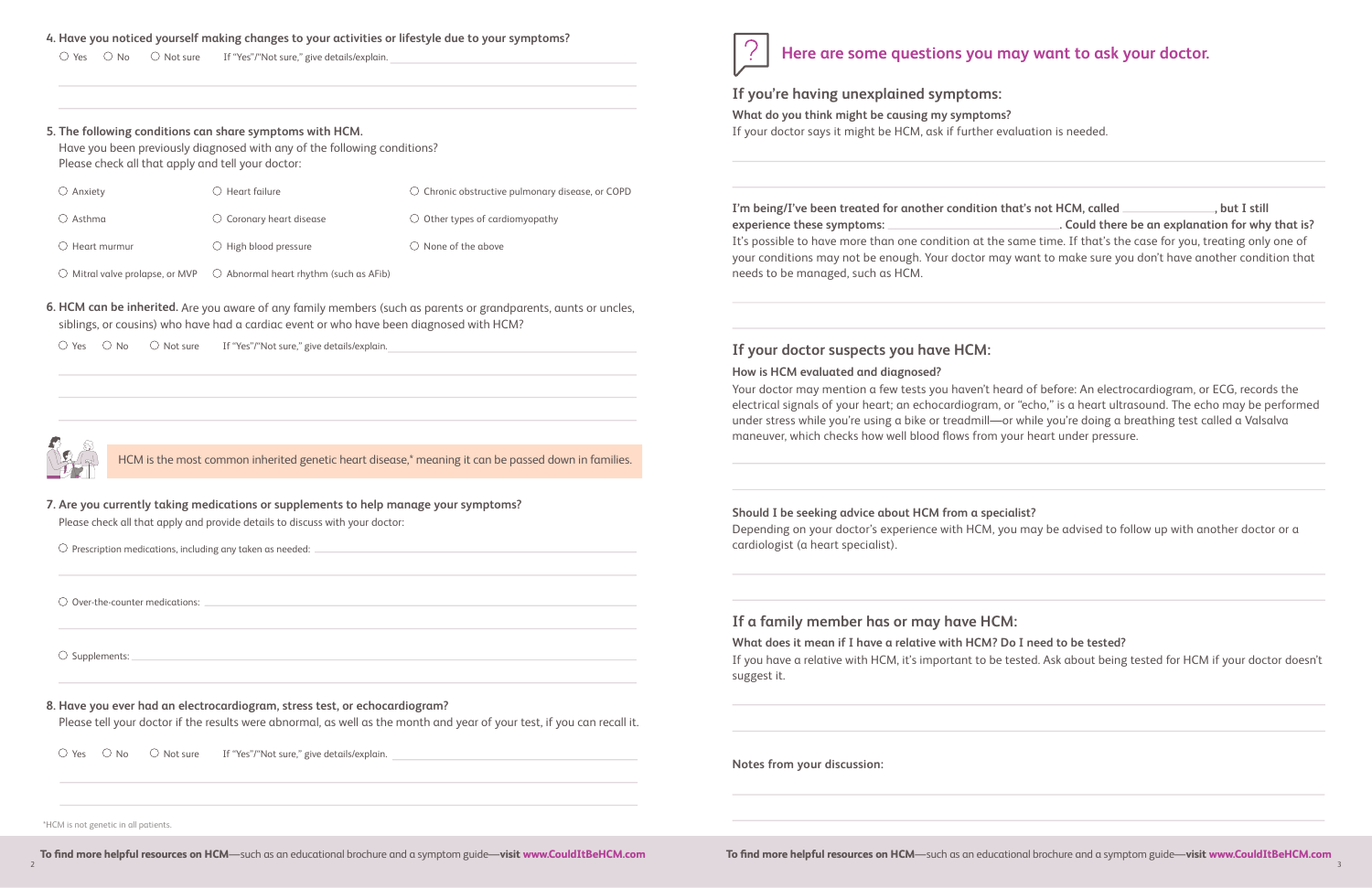**What do you think might be causing my symptoms?**  If your doctor says it might be HCM, ask if further evaluation is needed.

| I'm being/I've been treated for another condition t |  |
|-----------------------------------------------------|--|
| experience these symptoms:                          |  |

2. The thermal particular content and the theoretic symptoms:  $\frac{1}{2}$  and the theoretical content and the theoretical content and the theoretical content and the theoretical content and the theoretical content and the t **I** between that's not HCM, called , but I still **experience these symptoms: . Could there be an explanation for why that is?** It's possible to have more than one condition at the same time. If that's the case for you, treating only one of your conditions may not be enough. Your doctor may want to make sure you don't have another condition that needs to be managed, such as HCM.

# **If your doctor suspects you have HCM:**

### **How is HCM evaluated and diagnosed?**

Your doctor may mention a few tests you haven't heard of before: An electrocardiogram, or ECG, records the electrical signals of your heart; an echocardiogram, or "echo," is a heart ultrasound. The echo may be performed under stress while you're using a bike or treadmill—or while you're doing a breathing test called a Valsalva maneuver, which checks how well blood flows from your heart under pressure.

**Should I be seeking advice about HCM from a specialist?** Depending on your doctor's experience with HCM, you may be advised to follow up with another doctor or a cardiologist (a heart specialist).

# **If a family member has or may have HCM:**

**What does it mean if I have a relative with HCM? Do I need to be tested?** If you have a relative with HCM, it's important to be tested. Ask about being tested for HCM if your doctor doesn't suggest it.

### **5. The following conditions can share symptoms with HCM.**

Have you been previously diagnosed with any of the following conditions? Please check all that apply and tell your doctor:

| $\bigcirc$ Anxiety      | <b>Heart failure</b>              | $\circlearrowright$ Chronic obstructive pulmonary disease, or COPD |
|-------------------------|-----------------------------------|--------------------------------------------------------------------|
| $\bigcirc$ Asthma       | $\bigcirc$ Coronary heart disease | $\bigcirc$ Other types of cardiomyopathy                           |
| $\bigcirc$ Heart murmur | $\bigcirc$ High blood pressure    | $\bigcirc$ None of the above                                       |

Mitral valve prolapse, or MVP  $\quad\circlearrowright$  Abnormal heart rhythm (such as AFib)

Yes NoNot sure If "Yes"/"Not sure," give details/explain.



HCM is the most common inherited genetic heart disease,<sup>\*</sup> meaning it can be passed down in families.

### **8. Have you ever had an electrocardiogram, stress test, or echocardiogram?**

Please tell your doctor if the results were abnormal, as well as the month and year of your test, if you can recall it.

○ Yes ○ No ○ Not sure If "Yes"/"Not sure," give details/explain.



## **7. Are you currently taking medications or supplements to help manage your symptoms?**

Please check all that apply and provide details to discuss with your doctor:

 $\bigcirc$  Prescription medications, including any taken as needed:

 $\bigcirc$  Over-the-counter medications:

 $\bigcirc$  Supplements:

**6. HCM can be inherited.** Are you aware of any family members (such as parents or grandparents, aunts or uncles, siblings, or cousins) who have had a cardiac event or who have been diagnosed with HCM?

### **4. Have you noticed yourself making changes to your activities or lifestyle due to your symptoms?**

 $\bigcirc$  Yes  $\bigcirc$  No  $\bigcirc$  Not sure If "Yes"/"Not sure," give details/explain.

\*HCM is not genetic in all patients.

**Notes from your discussion:**

# **Here are some questions you may want to ask your doctor.**